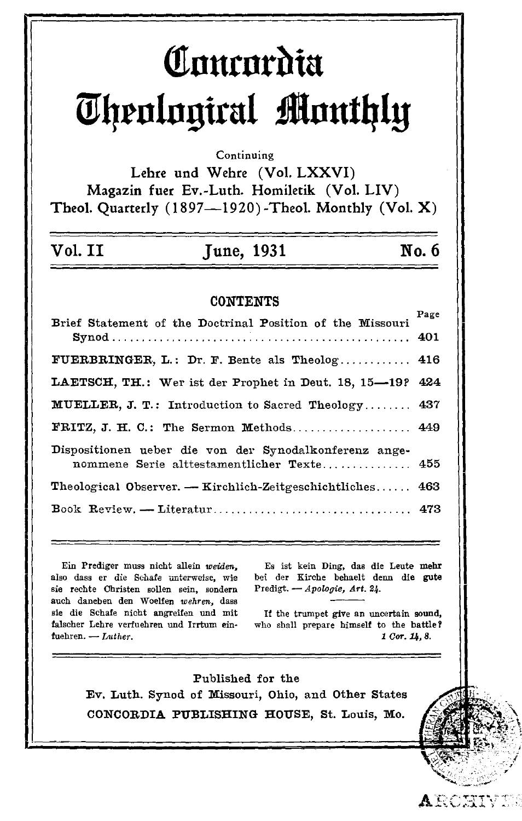# Comordia Theological Monthly

Continuing

Lehre und Wehre (Vol. LXXVI) Magazin fuer Ev.-Luth. Homiletik (Vol. LIV) Theol. Quarterly (1897--1920)-Theol. Monthly (Vol. X)

| Vol. II | June, 1931 | No. 6 |
|---------|------------|-------|
|         |            |       |

#### **CONTENTS**

| Brief Statement of the Doctrinal Position of the Missouri  | Page |
|------------------------------------------------------------|------|
|                                                            |      |
| FUERBRINGER, L.: Dr. F. Bente als Theolog 416              |      |
| LAETSCH, TH.: Wer ist der Prophet in Deut. 18, 15-19? 424  |      |
| <b>MUELLER, J. T.: Introduction to Sacred Theology 437</b> |      |
| FRITZ, J. H. C.: The Sermon Methods 449                    |      |
| Dispositionen ueber die von der Synodalkonferenz ange-     |      |
| nommene Serie alttestamentlicher Texte 455                 |      |
| Theological Observer. — Kirchlich-Zeitgeschichtliches 463  |      |
|                                                            |      |

Ein Prediger muss nicht allein weiden. also dass er die Schafe unterweise, wie sie rechte Christen sollen sein, sondern auch daneben den Woelfen wehren, dass sie die Schafe nicht angreifen und mit falscher Lehre verfuehren und Irrtum einfuehren.  $-Lutherford$ 

Es ist kein Ding, das die Leute mehr bei der Kirche behaelt denn die gute Predigt. - Apologie, Art. 24.

If the trumpet give an uncertain sound, who shall prepare himself to the battle? 1 Cor. 14, 8.

ARCHI

Published for the Ev. Luth. Synod of Missouri, Ohio, and Other States CONCORDIA PUBLISHING HOUSE, St. Louis, Mo.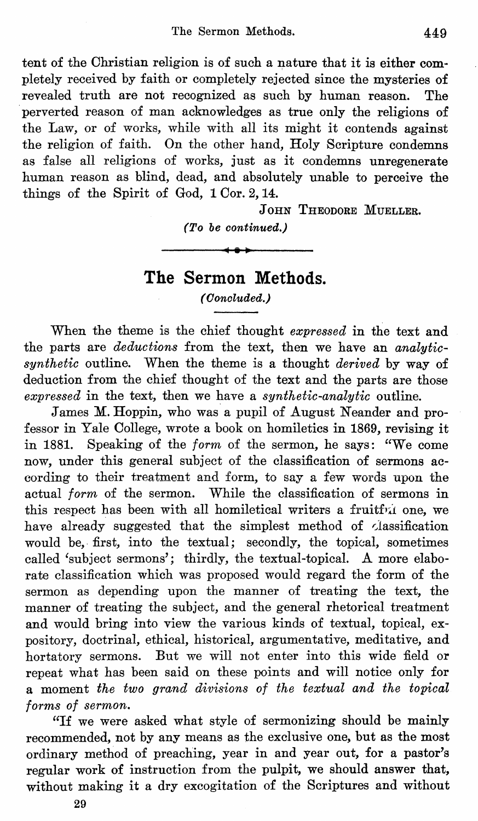tent of the Christian religion is of such a nature that it is either completely received by faith or completely rejected since the mysteries of revealed truth are not recognized as such by human reason. The perverted reason of man acknowledges as true only the religions of the Law, or of works, while with all its might it contends against the religion of faith. On the other hand, Holy Scripture condemns as false all religions of works, just as it condemns unregenerate human reason as blind, dead, and absolutely unable to perceive the things of the Spirit of God, 1 Cor. 2, 14.

JOHN THEODORE MUELLER.

*(To be continued.)* 

## **The Sermon Methods.**

*(Ooncluded.)* 

When the theme is the chief thought *expressed* in the text and the parts are *deductions* from the text, then we have an *analyticsynthetic* outline. When the theme is a thought *derived* by way of deduction from the chief thought of the text and the parts are those *expressed* in the text, then we have a *synthetic-analytic* outline.

James M. Hoppin, who was a pupil of August Neander and professor in Yale College, wrote a book on homiletics in 1869, revising it in 1881. Speaking of the *form* of the sermon, he says: "We come now, under this general subject of the classification of sermons according to their treatment and form, to say a few words upon the actual *form* of the sermon. While the classification of sermons in this respect has been with all homiletical writers a fruitful one, we have already suggested that the simplest method of classification would be, first, into the textual; secondly, the topical, sometimes called 'subject sermons'; thirdly, the textual-topical. A more elaborate classification which was proposed would regard the form of the sermon as depending upon the manner of treating the text, the manner of treating the subject, and the general rhetorical treatment and would bring into view the various kinds of textual, topical, expository, doctrinal, ethical, historical, argumentative, meditative, and hortatory sermons. But we will not enter into this wide field or repeat what has been said on these points and will notice only for a moment *the two grand divisions of the textual and the topical forms of sermon.* 

"If we were asked what style of sermonizing should be mainly recommended, not by any means as the exclusive one, but as the most ordinary method of preaching, year in and year out, for a pastor's regular work of instruction from the pulpit, we should answer that, without making it a dry excogitation of the Scriptures and without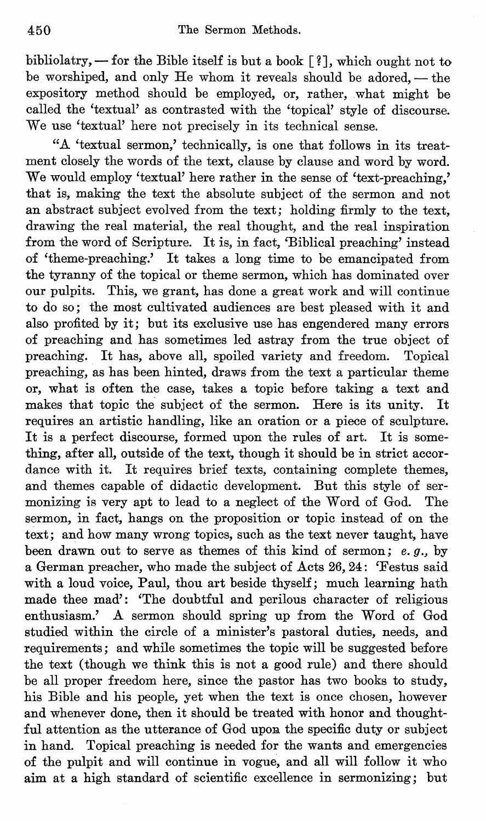bibliolatry,  $-$  for the Bible itself is but a book  $[?]$ , which ought not to be worshiped, and only He whom it reveals should be adored, - the expository method should be employed, or, rather, what might be called the 'textual' as contrasted with the 'topical' style of discourse. We use 'textual' here not precisely in its technical sense.

"A 'textual sermon,' technically, is one that follows in its treatment closely the words of the text, clause by clause and word by word. We would employ 'textual' here rather in the sense of 'text-preaching,' that is, making the text the absolute subject of the sermon and not an abstract subject evolved from the text; holding firmly to the text, drawing the real material, the real thought, and the real inspiration from the word of Scripture. It is, in fact, 'Biblical preaching' instead of 'theme-preaching.' It takes a long time to be emancipated from the tyranny of the topical or theme sermon, which has dominated over our pulpits. This, we grant, has done a great work and will continue to do so; the most cultivated audiences are best pleased with it and also profited by it; but its exclusive use has engendered many errors of preaching and has sometimes led astray from the true object of preaching. It has, above all, spoiled variety and freedom. Topical preaching, as has been hinted, draws from the text a particular theme or, what is often the case, takes a topic before taking a text and makes that topic the subject of the sermon. Here is its unity. It requires an artistic handling, like an oration or a piece of sculpture. It is a perfect discourse, formed upon the rules of art. It is something, after all, outside of the text, though it should be in strict accordance with it. It requires brief texts, containing complete themes, and themes capable of didactic development. But this style of sermonizing is very apt to lead to a neglect of the Word of God. The sermon, in fact, hangs on the proposition or topic instead of on the text; and how many wrong topics, such as the text never taught, have been drawn out to serve as themes of this kind of sermon; *e.* g., by a German preacher, who made the subject of Acts 26,24: 'Festus said with a loud voice, Paul, thou art beside thyself; much learning hath made thee mad': 'The doubtful and perilous character of religious enthusiasm.' A sermon should spring up from the Word of God studied within the circle of a minister's pastoral duties, needs, and requirements; and while sometimes the topic will be suggested before the text (though we think this is not a good rule) and there should be all proper freedom here, since the pastor has two books to study, his Bible and his people, yet when the text is once chosen, however and whenever done, then it should be treated with honor and thoughtful attention as the utterance of God upon the specific duty or subject in hand. Topical preaching is needed for the wants and emergencies of the pulpit and will continue in vogue, and all will follow it who aim at a high standard of scientific excellence in sermonizing; but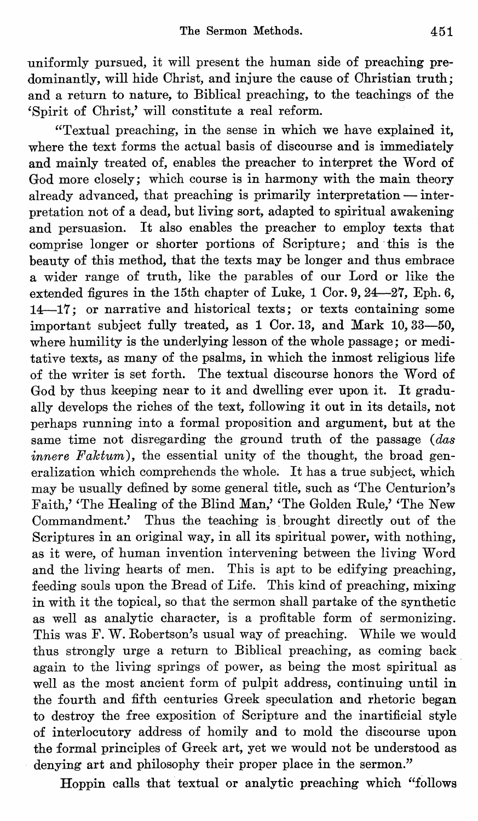uniformly pursued, it will present the human side of preaching predominantly, will hide Christ, and injure the cause of Christian truth; and a return to nature, to Biblical preaching, to the teachings of the 'Spirit of Ohrist,' will constitute a real reform.

"Textual preaching, in the sense in which we have explained it, where the text forms the actual basis of discourse and is immediately and mainly treated of, enables the preacher to interpret the Word of God more closely; which course is in harmony with the main theory already advanced, that preaching is primarily interpretation  $-$  interpretation not of a dead, but living sort, adapted to spiritual awakening and persuasion. It also enables the preacher to employ texts that comprise longer or shorter portions of Scripture; and' this is the beauty of this method, that the texts may be longer and thus embrace a wider range of truth, like the parables of our Lord or like the extended figures in the 15th chapter of Luke, 1 Cor. 9, 24-27, Eph. 6, 14-17; or narrative and historical texts; or texts containing some important subject fully treated, as 1 Cor. 13, and Mark 10, 33-50, where humility is the underlying lesson of the whole passage; or meditative texts, as many of the psalms, in which the inmost religious life of the writer is set forth. The textual discourse honors the Word of God by thus keeping near to it and dwelling ever upon it. It gradually develops the riches of the text, following it out in its details, not perhaps running into a formal proposition and argument, but at the same time not disregarding the ground truth of the passage (das *innere Faktum*), the essential unity of the thought, the broad generalization which comprehends the whole. It has a true subject, which may be usually defined by some general title, such as 'The Oenturion's Faith,' 'The Healing of the Blind Man,' 'The Golden Rule,' 'The New Oommandment.' Thus the teaching is. brought directly out of the Scriptures in an original way, in all its spiritual power, with nothing, as it were, of human invention intervening between the living Word and the living hearts of men. This is apt to be edifying preaching, feeding souls upon the Bread of Life. This kind of preaching, mixing in with it the topical, so that the sermon shall partake of the synthetic as well as analytic character, is a profitable form of sermonizing. This was F. W. Robertson's usual way of preaching. While we would thus strongly urge a return to Biblical preaching, as coming back again to the living springs of power, as being the most spiritual as well as the most ancient form of pulpit address, continuing until in the fourth and fifth centuries Greek speculation and rhetoric began to destroy the free exposition of Scripture and the inartificial style of interlocutory address of homily and to mold the discourse upon the formal principles of Greek art, yet we would not be understood as denying art and philosophy their proper place in the sermon."

Hoppin calls that textual or analytic preaching which "follows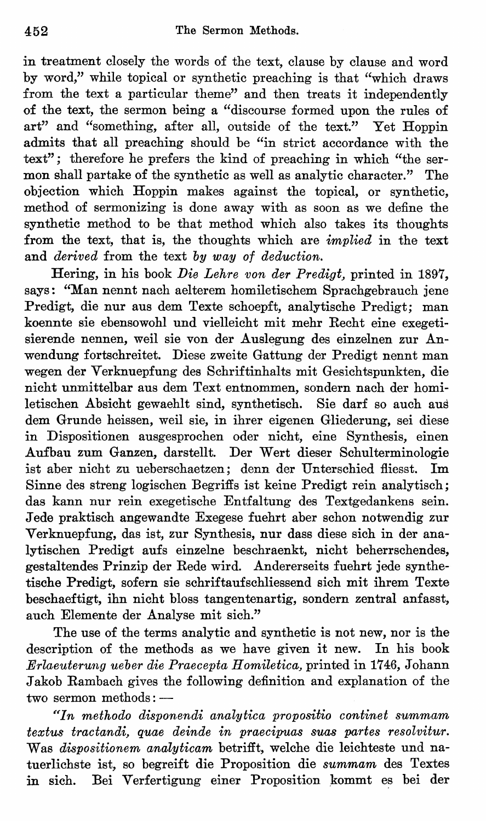in treatment closely the words of the text, clause by clause and word by word," while topical or synthetic preaching is that "which draws from the text a particular theme" and then treats it independently of the text, the sermon being a "discourse formed upon the rules of art" and "something, after all, outside of the text." Yet Hoppin admits that all preaching should be "in strict accordance with the text"; therefore he prefers the kind of preaching in which "the sermon shall partake of the synthetic as well as analytic character." The objection which Hoppin makes against the topical, or synthetic, method of sermonizing is done away with as soon as we define the synthetic method to be that method which also takes its thoughts from the text, that is, the thoughts which are *implied* in the text and *derived* from the text *by way of deduction.* 

Hering, in his book *Die Lehre von der Predigt,* printed in 1897, says: "Man nennt nach aelterem homiletischem Sprachgebrauch jene Predigt, die nur aus dem Texte schoepft, analytische Predigt; man koennte sie ebensowohl und vielleicht mit mehr Recht eine exegetisierende nennen, weil sie von der Auslegung des einzelnen zur Anwendung fortschreitet. Diese zweite Gattung der Predigt nennt man wegen der Verknuepfung des Schriftinhalts mit Gesichtspunkten, die nicht unmittelbar aus dem Text entnommen, sondern nach der homiletischen Absicht gewaehlt sind, synthetisch. Sie darf so auch aus dem Grunde heissen, weil sie, in ihrer eigenen Gliederung, sei diese in Dispositionen ausgesprochen oder nicht, eine Synthesis, einen Aufbau zum Ganzen, darstellt. Der Wert dieser Schulterminologie ist aber nicht zu ueberschaetzen; denn der Unterschied fliesst. 1m Sinne des streng logischen Begriffs ist keine Predigt rein analytisch; das kann nur rein exegetische Entfaltung des Textgedankens sein. J ede praktisch angewandte Exegese fuehrt aber schon notwendig zur Verknuepfung, das ist, zur Synthesis, nur dass diese sich in der analytischen Predigt aufs einzelne beschraenkt, nicht beherrschendes, gestaltendes Prinzip der Rede wird. Andererseits fuehrt jede synthetische Predigt, sofern sie schriftaufschliessend sich mit ihrem Texte beschaeftigt, ihn nicht bloss tangentenartig, sondern zentral anfasst, auch Elemente der Analyse mit sich."

The use of the terms analytic and synthetic is not new, nor is the description of the methods as we have given it new. In his book *Erlaeuterung ueber die Praecepta Homiletica,* printed in 1746, Johann Jakob Rambach gives the following definition and explanation of the two sermon methods: --

*"In methodo disponendi analytica propositio continet summam textus tractandi, quae deinde in praecipuas suas partes resolvitur.* Was *dispositionem analyticam* betrifft, welche die leichteste und natuerlichste ist, so begreift die Proposition die *summam* des Textes in sich. Bei Verfertigung einer Proposition kommt es bei der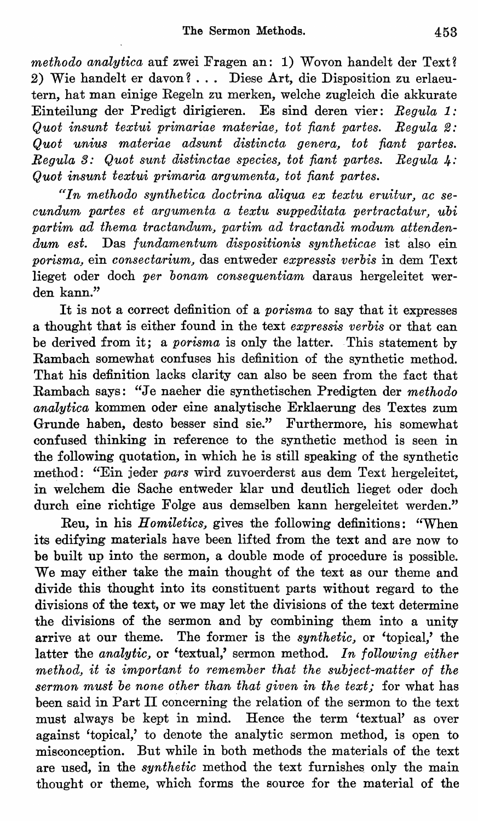*methodo analytica* auf zwei Fragen an: 1) Wovon handelt der Text? 2) Wie handelt er davon? . .. Diese Art, die Disposition zu erlaeutern, hat man einige Regeln zu merken, welche zugleich die akkurate Einteilung der Predigt dirigieren. Es sind deren vier: *Regula* 1: *Quot insunt textui primariae materiae, tot fiant partes. Regula 2: Quot unius materiae adsunt distincta genera, tot fiant partes. Regula* 3: *Quot sunt distinctae species, tot fiant partes. Regula* 4-: *Quot insunt textui primaria argumenta, tot fiant partes.* 

*"In methodo synthetica doctrina aliqua ex textu eruitur, ac secundum partes et argumenta a textu suppeditata pertractatur, ubi*  partim ad thema tractandum, partim ad tractandi modum attenden*dum est.* Das *fundamentum dispositionis syntheticae* ist also ein *porisma,* ein *consectarium,* das entweder *expressis verbis* in dem Text lieget oder doch *per bonam consequentiam* daraus hergeleitet werden kann."

It is not a correct definition of a *porisma* to say that it expresses a thought that is either found in the text *expressis verbis* or that can be derived from it; a *porisma* is only the latter. This statement by Rambach somewhat confuses his definition of the synthetic method. That his definition lacks clarity can also be seen from the fact that Rambach says: "Je naeher die synthetischen Predigten der *methodo* analytica kommen oder eine analytische Erklaerung des Textes zum Grunde haben, desto besser sind sie." Furthermore, his somewhat confused thinking in reference to the synthetic method is seen in the following quotation, in which he is still speaking of the synthetic method: "Ein jeder *pars* wird zuvoerderst aus dem Text hergeleitet, in welchem die Sache entweder klar und deutlich lieget oder doch durch eine richtige Folge aus demselben kann hergeleitet werden."

Reu, in his *Homiletics,* gives the following definitions: "When its edifying materials have been lifted from the text and are now to be built up into the sermon, a double mode of procedure is possible. We may either take the main thought of the text as our theme and divide this thought into its constituent parts without regard to the divisions of the text, or we may let the divisions of the text determine the divisions of the sermon and by combining them into a unity arrive at our theme. The former is the *synthetic,* or 'topical,' the latter the *analytic*, or 'textual,' sermon method. In following either *method, it is important to remember that the subiect-matter of the sermon must be none other than that given in the text;* for what has been said in Part II concerning the relation of the sermon to the text must always be kept in mind. Hence the term 'textual' as over against 'topical,' to denote the analytic sermon method, is open to misconception. But while in both methods the materials of the text are used, in the *synthetic* method the text furnishes only the main thought or theme, which forms the source for the material of the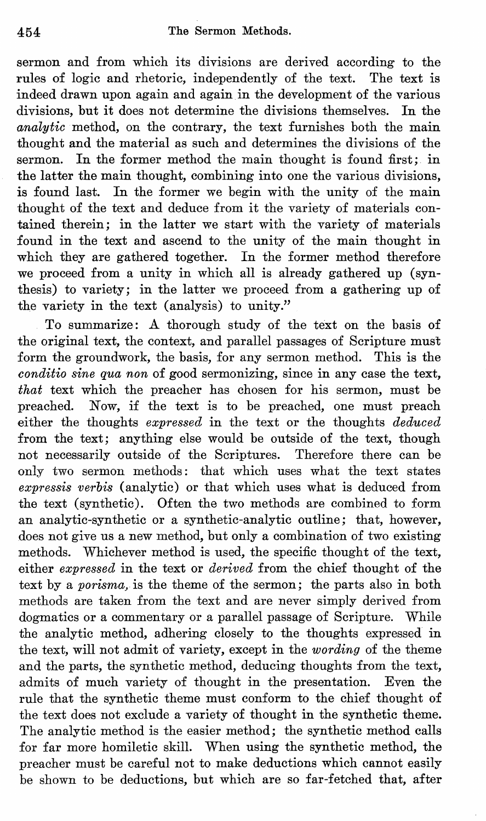sermon and from which its divisions are derived according to the rules of logic and rhetoric, independently of the text. The text is indeed drawn upon again and again in the development of the various divisions, but it does not determine the divisions themselves. In the *analytic* method, on the contrary, the text furnishes both the main thought and the material as such and determines the divisions of the sermon. In the former method the main thought is found first; in the latter the main thought, combining into one the various divisions, is found last. In the former we begin with the unity of the main thought of the text and deduce from it the variety of materials contained therein; in the latter we start with the variety of materials found in the text and ascend to the unity of the main thought in which they are gathered together. In the former method therefore we proceed from a unity in which all is already gathered up (synthesis) to variety; in the latter we proceed from a gathering up of the variety in the text (analysis) to unity."

To summarize: A thorough study of the text on the basis of the original text, the context, and parallel passages of Scripture must form the groundwork, the basis, for any sermon method. This is the *conditio sine qua non* of good sermonizing, since in any case the text, *that* text which the preacher has chosen for his sermon, must be preached. Now, if the text is to be preached, one must preach either the thoughts *expressed* in the text or the thoughts *deduced*  from the text; anything else would be outside of the text, though not necessarily outside of the Scriptures. Therefore there can be only two sermon methods: that which uses what the text states *expressis verbis* (analytic) or that which uses what is deduced from the text (synthetic). Often the two methods are combined to form an analytic-synthetic or a synthetic-analytic outline; that, however, does not give us a new method, but only a combination of two existing methods. Whichever method is used, the specific thought of the text, either *expressed* in the text or *derived* from the chief thought of the text by a *porisma,* is the theme of the sermon; the parts also in both methods are taken from the text and are never simply derived from dogmatics or a commentary or a parallel passage of Scripture. While the analytic method, adhering closely to the thoughts expressed in the text, will not admit of variety, except in the *wording* of the theme and the parts, the synthetic method, deducing thoughts from the text, admits of much variety of thought in the presentation. Even the rule that the synthetic theme must conform to the chief thought of the text does not exclude a variety of thought in the synthetic theme. The analytic method is the easier method; the synthetic method calls for far more homiletic skill. When using the synthetic method, the preacher must be careful not to make deductions which cannot easily be shown to be deductions, but which are so far-fetched that, after